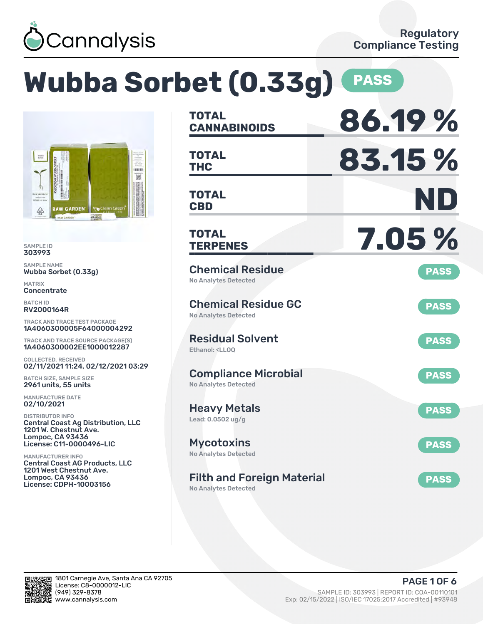

|                                                                                                                                                   | Wubba Sorbet (0.33g)                                                                            | <b>PASS</b> |
|---------------------------------------------------------------------------------------------------------------------------------------------------|-------------------------------------------------------------------------------------------------|-------------|
|                                                                                                                                                   | <b>TOTAL</b><br><b>CANNABINOIDS</b>                                                             | 86.19%      |
| <b>BREAD</b><br>服                                                                                                                                 | <b>TOTAL</b><br><b>THC</b>                                                                      | 83.15%      |
| <b>RAW GARDER</b><br><b>RAW GARDENT</b><br><b>YO</b> Clean Gree<br><b>RAW GARDEN</b>                                                              | <b>TOTAL</b><br><b>CBD</b>                                                                      | ND          |
| <b>SAMPLE ID</b><br>303993                                                                                                                        | <b>TOTAL</b><br><b>TERPENES</b>                                                                 | 7.05 %      |
| <b>SAMPLE NAME</b><br>Wubba Sorbet (0.33q)<br><b>MATRIX</b><br>Concentrate                                                                        | <b>Chemical Residue</b><br><b>No Analytes Detected</b>                                          | <b>PASS</b> |
| <b>BATCH ID</b><br><b>RV2000164R</b><br><b>TRACK AND TRACE TEST PACKAGE</b>                                                                       | <b>Chemical Residue GC</b><br><b>No Analytes Detected</b>                                       | <b>PASS</b> |
| 1A4060300005F64000004292<br>TRACK AND TRACE SOURCE PACKAGE(S)<br>1A4060300002EE1000012287                                                         | <b>Residual Solvent</b><br>Ethanol: <ll00< td=""><td><b>PASS</b></td></ll00<>                   | <b>PASS</b> |
| <b>COLLECTED, RECEIVED</b><br>02/11/2021 11:24, 02/12/2021 03:29<br><b>BATCH SIZE, SAMPLE SIZE</b><br>2961 units, 55 units                        | <b>Compliance Microbial</b><br><b>No Analytes Detected</b>                                      | <b>PASS</b> |
| <b>MANUFACTURE DATE</b><br>02/10/2021<br><b>DISTRIBUTOR INFO</b>                                                                                  | <b>Heavy Metals</b>                                                                             | <b>PASS</b> |
| <b>Central Coast Ag Distribution, LLC</b><br>1201 W. Chestnut Ave.<br><b>Lompoc, CA 93436</b><br>License: C11-0000496-LIC                         | Lead: $0.0502$ ug/g<br><b>Mycotoxins</b>                                                        | <b>PASS</b> |
| <b>MANUFACTURER INFO</b><br><b>Central Coast AG Products, LLC</b><br>1201 West Chestnut Ave.<br><b>Lompoc, CA 93436</b><br>License: CDPH-10003156 | <b>No Analytes Detected</b><br><b>Filth and Foreign Material</b><br><b>No Analytes Detected</b> | <b>PASS</b> |

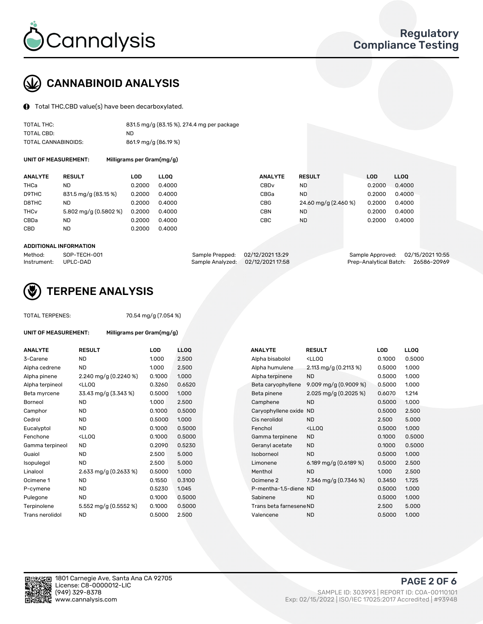

# CANNABINOID ANALYSIS

Total THC,CBD value(s) have been decarboxylated.

| TOTAL THC:          | 831.5 mg/g (83.15 %), 274.4 mg per package |
|---------------------|--------------------------------------------|
| TOTAL CBD:          | ND.                                        |
| TOTAL CANNABINOIDS: | 861.9 mg/g (86.19 %)                       |

UNIT OF MEASUREMENT: Milligrams per Gram(mg/g)

| <b>ANALYTE</b>         | <b>RESULT</b>         | LOD    | <b>LLOO</b> | <b>ANALYTE</b>   | <b>RESULT</b>        | <b>LOD</b> | <b>LLOO</b> |
|------------------------|-----------------------|--------|-------------|------------------|----------------------|------------|-------------|
| THCa                   | ND                    | 0.2000 | 0.4000      | CBD <sub>v</sub> | ND.                  | 0.2000     | 0.4000      |
| D9THC                  | 831.5 mg/g (83.15 %)  | 0.2000 | 0.4000      | CBGa             | ND.                  | 0.2000     | 0.4000      |
| D8THC                  | ND                    | 0.2000 | 0.4000      | CBG              | 24.60 mg/g (2.460 %) | 0.2000     | 0.4000      |
| <b>THC<sub>v</sub></b> | 5.802 mg/g (0.5802 %) | 0.2000 | 0.4000      | CBN              | <b>ND</b>            | 0.2000     | 0.4000      |
| CBDa                   | ND                    | 0.2000 | 0.4000      | CBC              | <b>ND</b>            | 0.2000     | 0.4000      |
| CBD                    | ND                    | 0.2000 | 0.4000      |                  |                      |            |             |

#### ADDITIONAL INFORMATION

| Method:              | SOP-TECH-001 | Sample Prepped: 02/12/2021 13:29 |                                   | Sample Approved: 02/15/2021 10:55  |  |
|----------------------|--------------|----------------------------------|-----------------------------------|------------------------------------|--|
| Instrument: UPLC-DAD |              |                                  | Sample Analyzed: 02/12/2021 17:58 | Prep-Analytical Batch: 26586-20969 |  |



## TERPENE ANALYSIS

| <b>TOTAL TERPENES:</b> |                                                     | 70.54 mg/g (7.054 %) |             |  |  |  |  |  |
|------------------------|-----------------------------------------------------|----------------------|-------------|--|--|--|--|--|
| UNIT OF MEASUREMENT:   | Milligrams per Gram(mg/g)                           |                      |             |  |  |  |  |  |
| <b>ANALYTE</b>         | <b>RESULT</b>                                       | LOD                  | <b>LLOO</b> |  |  |  |  |  |
| 3-Carene               | ND.                                                 | 1.000                | 2.500       |  |  |  |  |  |
| Alpha cedrene          | <b>ND</b>                                           | 1.000                | 2.500       |  |  |  |  |  |
| Alpha pinene           | 2.240 mg/g $(0.2240\%)$                             | 0.1000               | 1.000       |  |  |  |  |  |
| Alpha terpineol        | <lloq< td=""><td>0.3260</td><td>0.6520</td></lloq<> | 0.3260               | 0.6520      |  |  |  |  |  |
| Beta myrcene           | 33.43 mg/g (3.343 %)                                | 0.5000               | 1.000       |  |  |  |  |  |
| Borneol                | <b>ND</b>                                           | 1.000                | 2.500       |  |  |  |  |  |
| Camphor                | <b>ND</b>                                           | 0.1000               | 0.5000      |  |  |  |  |  |
| Cedrol                 | <b>ND</b>                                           | 0.5000               | 1.000       |  |  |  |  |  |
| Eucalyptol             | <b>ND</b>                                           | 0.1000               | 0.5000      |  |  |  |  |  |
| Fenchone               | $<$ LLOO                                            | 0.1000               | 0.5000      |  |  |  |  |  |
| Gamma terpineol        | <b>ND</b>                                           | 0.2090               | 0.5230      |  |  |  |  |  |
| Guaiol                 | <b>ND</b>                                           | 2.500                | 5.000       |  |  |  |  |  |
| Isopulegol             | <b>ND</b>                                           | 2.500                | 5.000       |  |  |  |  |  |
| Linalool               | 2.633 mg/g $(0.2633\%)$                             | 0.5000               | 1.000       |  |  |  |  |  |
| Ocimene 1              | <b>ND</b>                                           | 0.1550               | 0.3100      |  |  |  |  |  |
| P-cymene               | <b>ND</b>                                           | 0.5230               | 1.045       |  |  |  |  |  |
| Pulegone               | <b>ND</b>                                           | 0.1000               | 0.5000      |  |  |  |  |  |
| Terpinolene            | 5.552 mg/g (0.5552 %)                               | 0.1000               | 0.5000      |  |  |  |  |  |

| ANALYTE         | <b>RESULT</b>                                                                                                                                          | LOD    | LLOQ   | <b>ANALYTE</b>          | <b>RESULT</b>                                       | LOD    | <b>LLOQ</b> |
|-----------------|--------------------------------------------------------------------------------------------------------------------------------------------------------|--------|--------|-------------------------|-----------------------------------------------------|--------|-------------|
| 3-Carene        | <b>ND</b>                                                                                                                                              | 1.000  | 2.500  | Alpha bisabolol         | <lloq< td=""><td>0.1000</td><td>0.5000</td></lloq<> | 0.1000 | 0.5000      |
| Alpha cedrene   | <b>ND</b>                                                                                                                                              | 1.000  | 2.500  | Alpha humulene          | 2.113 mg/g (0.2113 %)                               | 0.5000 | 1.000       |
| Alpha pinene    | 2.240 mg/g $(0.2240\%)$                                                                                                                                | 0.1000 | 1.000  | Alpha terpinene         | <b>ND</b>                                           | 0.5000 | 1.000       |
| Alpha terpineol | <lloq< td=""><td>0.3260</td><td>0.6520</td><td>Beta caryophyllene</td><td>9.009 mg/g <math>(0.9009\%)</math></td><td>0.5000</td><td>1.000</td></lloq<> | 0.3260 | 0.6520 | Beta caryophyllene      | 9.009 mg/g $(0.9009\%)$                             | 0.5000 | 1.000       |
| Beta myrcene    | 33.43 mg/g (3.343 %)                                                                                                                                   | 0.5000 | 1.000  | Beta pinene             | 2.025 mg/g $(0.2025\%)$                             | 0.6070 | 1.214       |
| Borneol         | <b>ND</b>                                                                                                                                              | 1.000  | 2.500  | Camphene                | <b>ND</b>                                           | 0.5000 | 1.000       |
| Camphor         | <b>ND</b>                                                                                                                                              | 0.1000 | 0.5000 | Caryophyllene oxide     | <b>ND</b>                                           | 0.5000 | 2.500       |
| Cedrol          | <b>ND</b>                                                                                                                                              | 0.5000 | 1.000  | Cis nerolidol           | <b>ND</b>                                           | 2.500  | 5.000       |
| Eucalyptol      | <b>ND</b>                                                                                                                                              | 0.1000 | 0.5000 | Fenchol                 | <ll0q< td=""><td>0.5000</td><td>1.000</td></ll0q<>  | 0.5000 | 1.000       |
| Fenchone        | <lloq< td=""><td>0.1000</td><td>0.5000</td><td>Gamma terpinene</td><td><b>ND</b></td><td>0.1000</td><td>0.5000</td></lloq<>                            | 0.1000 | 0.5000 | Gamma terpinene         | <b>ND</b>                                           | 0.1000 | 0.5000      |
| Gamma terpineol | ND.                                                                                                                                                    | 0.2090 | 0.5230 | Geranyl acetate         | ND.                                                 | 0.1000 | 0.5000      |
| Guaiol          | <b>ND</b>                                                                                                                                              | 2.500  | 5.000  | Isoborneol              | <b>ND</b>                                           | 0.5000 | 1.000       |
| Isopulegol      | <b>ND</b>                                                                                                                                              | 2.500  | 5.000  | Limonene                | 6.189 mg/g $(0.6189\%)$                             | 0.5000 | 2.500       |
| Linalool        | 2.633 mg/g (0.2633 %)                                                                                                                                  | 0.5000 | 1.000  | Menthol                 | <b>ND</b>                                           | 1.000  | 2.500       |
| Ocimene 1       | <b>ND</b>                                                                                                                                              | 0.1550 | 0.3100 | Ocimene 2               | 7.346 mg/g $(0.7346\%)$                             | 0.3450 | 1.725       |
| P-cymene        | <b>ND</b>                                                                                                                                              | 0.5230 | 1.045  | P-mentha-1,5-diene ND   |                                                     | 0.5000 | 1.000       |
| Pulegone        | <b>ND</b>                                                                                                                                              | 0.1000 | 0.5000 | Sabinene                | <b>ND</b>                                           | 0.5000 | 1.000       |
| Terpinolene     | 5.552 mg/g (0.5552 %)                                                                                                                                  | 0.1000 | 0.5000 | Trans beta farnesene ND |                                                     | 2.500  | 5.000       |
| Trans nerolidol | <b>ND</b>                                                                                                                                              | 0.5000 | 2.500  | Valencene               | <b>ND</b>                                           | 0.5000 | 1.000       |
|                 |                                                                                                                                                        |        |        |                         |                                                     |        |             |

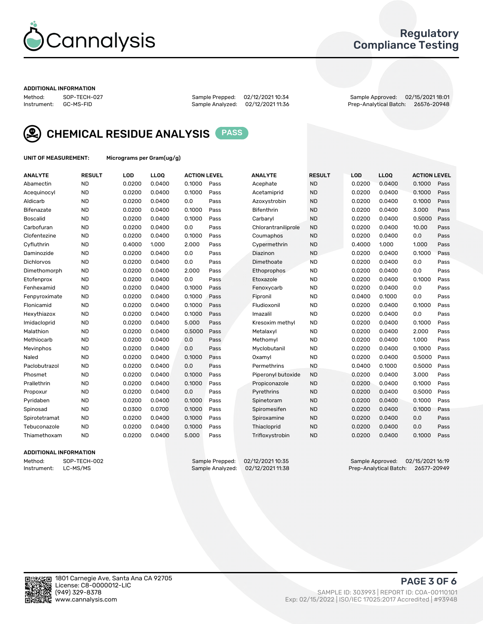

## Regulatory Compliance Testing

#### ADDITIONAL INFORMATION

Method: SOP-TECH-027 Sample Prepped: 02/12/2021 10:34 Sample Approved: 02/15/2021 18:01 Prep-Analytical Batch: 26576-20948



CHEMICAL RESIDUE ANALYSIS PASS

UNIT OF MEASUREMENT: Micrograms per Gram(ug/g)

| <b>ANALYTE</b>    | <b>RESULT</b> | LOD    | LL <sub>OO</sub> | <b>ACTION LEVEL</b> |      | <b>ANALYTE</b>      | <b>RESULT</b> | LOD    | <b>LLOQ</b> | <b>ACTION LEVEL</b> |      |
|-------------------|---------------|--------|------------------|---------------------|------|---------------------|---------------|--------|-------------|---------------------|------|
| Abamectin         | <b>ND</b>     | 0.0200 | 0.0400           | 0.1000              | Pass | Acephate            | <b>ND</b>     | 0.0200 | 0.0400      | 0.1000              | Pass |
| Acequinocyl       | <b>ND</b>     | 0.0200 | 0.0400           | 0.1000              | Pass | Acetamiprid         | <b>ND</b>     | 0.0200 | 0.0400      | 0.1000              | Pass |
| Aldicarb          | <b>ND</b>     | 0.0200 | 0.0400           | 0.0                 | Pass | Azoxystrobin        | <b>ND</b>     | 0.0200 | 0.0400      | 0.1000              | Pass |
| Bifenazate        | <b>ND</b>     | 0.0200 | 0.0400           | 0.1000              | Pass | <b>Bifenthrin</b>   | <b>ND</b>     | 0.0200 | 0.0400      | 3.000               | Pass |
| <b>Boscalid</b>   | <b>ND</b>     | 0.0200 | 0.0400           | 0.1000              | Pass | Carbaryl            | <b>ND</b>     | 0.0200 | 0.0400      | 0.5000              | Pass |
| Carbofuran        | <b>ND</b>     | 0.0200 | 0.0400           | 0.0                 | Pass | Chlorantraniliprole | <b>ND</b>     | 0.0200 | 0.0400      | 10.00               | Pass |
| Clofentezine      | <b>ND</b>     | 0.0200 | 0.0400           | 0.1000              | Pass | Coumaphos           | <b>ND</b>     | 0.0200 | 0.0400      | 0.0                 | Pass |
| Cyfluthrin        | <b>ND</b>     | 0.4000 | 1.000            | 2.000               | Pass | Cypermethrin        | <b>ND</b>     | 0.4000 | 1.000       | 1.000               | Pass |
| Daminozide        | <b>ND</b>     | 0.0200 | 0.0400           | 0.0                 | Pass | Diazinon            | <b>ND</b>     | 0.0200 | 0.0400      | 0.1000              | Pass |
| <b>Dichlorvos</b> | <b>ND</b>     | 0.0200 | 0.0400           | 0.0                 | Pass | Dimethoate          | <b>ND</b>     | 0.0200 | 0.0400      | 0.0                 | Pass |
| Dimethomorph      | <b>ND</b>     | 0.0200 | 0.0400           | 2.000               | Pass | Ethoprophos         | <b>ND</b>     | 0.0200 | 0.0400      | 0.0                 | Pass |
| Etofenprox        | <b>ND</b>     | 0.0200 | 0.0400           | 0.0                 | Pass | Etoxazole           | <b>ND</b>     | 0.0200 | 0.0400      | 0.1000              | Pass |
| Fenhexamid        | <b>ND</b>     | 0.0200 | 0.0400           | 0.1000              | Pass | Fenoxycarb          | <b>ND</b>     | 0.0200 | 0.0400      | 0.0                 | Pass |
| Fenpyroximate     | <b>ND</b>     | 0.0200 | 0.0400           | 0.1000              | Pass | Fipronil            | <b>ND</b>     | 0.0400 | 0.1000      | 0.0                 | Pass |
| Flonicamid        | <b>ND</b>     | 0.0200 | 0.0400           | 0.1000              | Pass | Fludioxonil         | <b>ND</b>     | 0.0200 | 0.0400      | 0.1000              | Pass |
| Hexythiazox       | <b>ND</b>     | 0.0200 | 0.0400           | 0.1000              | Pass | Imazalil            | <b>ND</b>     | 0.0200 | 0.0400      | 0.0                 | Pass |
| Imidacloprid      | <b>ND</b>     | 0.0200 | 0.0400           | 5.000               | Pass | Kresoxim methyl     | <b>ND</b>     | 0.0200 | 0.0400      | 0.1000              | Pass |
| Malathion         | <b>ND</b>     | 0.0200 | 0.0400           | 0.5000              | Pass | Metalaxyl           | <b>ND</b>     | 0.0200 | 0.0400      | 2.000               | Pass |
| Methiocarb        | <b>ND</b>     | 0.0200 | 0.0400           | 0.0                 | Pass | Methomyl            | <b>ND</b>     | 0.0200 | 0.0400      | 1.000               | Pass |
| Mevinphos         | <b>ND</b>     | 0.0200 | 0.0400           | 0.0                 | Pass | Myclobutanil        | <b>ND</b>     | 0.0200 | 0.0400      | 0.1000              | Pass |
| Naled             | <b>ND</b>     | 0.0200 | 0.0400           | 0.1000              | Pass | Oxamyl              | <b>ND</b>     | 0.0200 | 0.0400      | 0.5000              | Pass |
| Paclobutrazol     | <b>ND</b>     | 0.0200 | 0.0400           | 0.0                 | Pass | Permethrins         | <b>ND</b>     | 0.0400 | 0.1000      | 0.5000              | Pass |
| Phosmet           | <b>ND</b>     | 0.0200 | 0.0400           | 0.1000              | Pass | Piperonyl butoxide  | <b>ND</b>     | 0.0200 | 0.0400      | 3.000               | Pass |
| Prallethrin       | <b>ND</b>     | 0.0200 | 0.0400           | 0.1000              | Pass | Propiconazole       | <b>ND</b>     | 0.0200 | 0.0400      | 0.1000              | Pass |
| Propoxur          | <b>ND</b>     | 0.0200 | 0.0400           | 0.0                 | Pass | Pyrethrins          | <b>ND</b>     | 0.0200 | 0.0400      | 0.5000              | Pass |
| Pyridaben         | <b>ND</b>     | 0.0200 | 0.0400           | 0.1000              | Pass | Spinetoram          | <b>ND</b>     | 0.0200 | 0.0400      | 0.1000              | Pass |
| Spinosad          | <b>ND</b>     | 0.0300 | 0.0700           | 0.1000              | Pass | Spiromesifen        | <b>ND</b>     | 0.0200 | 0.0400      | 0.1000              | Pass |
| Spirotetramat     | <b>ND</b>     | 0.0200 | 0.0400           | 0.1000              | Pass | Spiroxamine         | <b>ND</b>     | 0.0200 | 0.0400      | 0.0                 | Pass |
| Tebuconazole      | <b>ND</b>     | 0.0200 | 0.0400           | 0.1000              | Pass | Thiacloprid         | <b>ND</b>     | 0.0200 | 0.0400      | 0.0                 | Pass |
| Thiamethoxam      | <b>ND</b>     | 0.0200 | 0.0400           | 5.000               | Pass | Trifloxystrobin     | <b>ND</b>     | 0.0200 | 0.0400      | 0.1000              | Pass |

#### ADDITIONAL INFORMATION

Method: SOP-TECH-002 Sample Prepped: 02/12/2021 10:35 Sample Approved: 02/15/2021 16:19<br>Instrument: LC-MS/MS Sample Analyzed: 02/12/2021 11:38 Prep-Analytical Batch: 26577-20949 Prep-Analytical Batch: 26577-20949

PAGE 3 OF 6

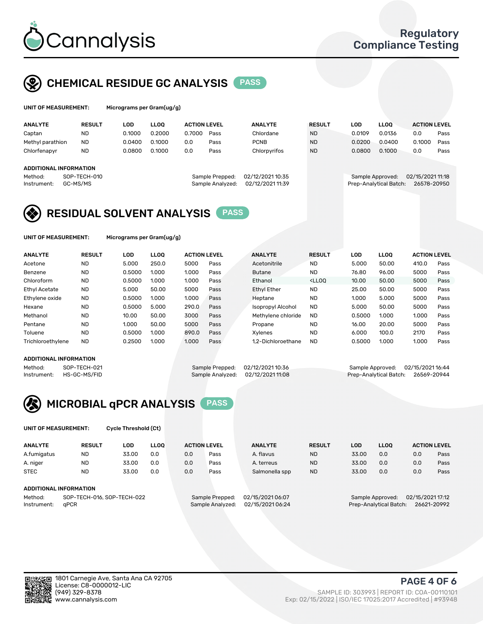

## CHEMICAL RESIDUE GC ANALYSIS PASS

| UNIT OF MEASUREMENT: | Micrograms per Gram(ug/g) |
|----------------------|---------------------------|
|                      |                           |

| <b>ANALYTE</b>         | <b>RESULT</b> | LOD    | <b>LLOO</b> | <b>ACTION LEVEL</b> |                  | <b>ANALYTE</b>   | <b>RESULT</b> | LOD              | <b>LLOO</b>            | <b>ACTION LEVEL</b> |      |
|------------------------|---------------|--------|-------------|---------------------|------------------|------------------|---------------|------------------|------------------------|---------------------|------|
| Captan                 | ND            | 0.1000 | 0.2000      | 0.7000              | Pass             | Chlordane        | <b>ND</b>     | 0.0109           | 0.0136                 | 0.0                 | Pass |
| Methyl parathion       | <b>ND</b>     | 0.0400 | 0.1000      | 0.0                 | Pass             | <b>PCNB</b>      | <b>ND</b>     | 0.0200           | 0.0400                 | 0.1000              | Pass |
| Chlorfenapyr           | <b>ND</b>     | 0.0800 | 0.1000      | 0.0                 | Pass             | Chlorpyrifos     | <b>ND</b>     | 0.0800           | 0.1000                 | 0.0                 | Pass |
|                        |               |        |             |                     |                  |                  |               |                  |                        |                     |      |
| ADDITIONAL INFORMATION |               |        |             |                     |                  |                  |               |                  |                        |                     |      |
| Method:                | SOP-TECH-010  |        |             |                     | Sample Prepped:  | 02/12/2021 10:35 |               | Sample Approved: |                        | 02/15/2021 11:18    |      |
| Instrument:            | GC-MS/MS      |        |             |                     | Sample Analyzed: | 02/12/2021 11:39 |               |                  | Prep-Analytical Batch: | 26578-20950         |      |

## RESIDUAL SOLVENT ANALYSIS PASS

UNIT OF MEASUREMENT: Micrograms per Gram(ug/g)

| <b>ANALYTE</b>       | <b>RESULT</b> | <b>LOD</b> | <b>LLOO</b> | <b>ACTION LEVEL</b> |      | <b>ANALYTE</b>     | <b>RESULT</b>                                                               | LOD    | <b>LLOO</b> | <b>ACTION LEVEL</b> |      |
|----------------------|---------------|------------|-------------|---------------------|------|--------------------|-----------------------------------------------------------------------------|--------|-------------|---------------------|------|
| Acetone              | <b>ND</b>     | 5.000      | 250.0       | 5000                | Pass | Acetonitrile       | <b>ND</b>                                                                   | 5.000  | 50.00       | 410.0               | Pass |
| Benzene              | <b>ND</b>     | 0.5000     | 1.000       | 1.000               | Pass | <b>Butane</b>      | <b>ND</b>                                                                   | 76.80  | 96.00       | 5000                | Pass |
| Chloroform           | <b>ND</b>     | 0.5000     | 1.000       | 1.000               | Pass | Ethanol            | <lloo< td=""><td>10.00</td><td>50.00</td><td>5000</td><td>Pass</td></lloo<> | 10.00  | 50.00       | 5000                | Pass |
| <b>Ethyl Acetate</b> | <b>ND</b>     | 5.000      | 50.00       | 5000                | Pass | <b>Ethyl Ether</b> | <b>ND</b>                                                                   | 25.00  | 50.00       | 5000                | Pass |
| Ethylene oxide       | <b>ND</b>     | 0.5000     | 1.000       | 1.000               | Pass | Heptane            | <b>ND</b>                                                                   | 1.000  | 5.000       | 5000                | Pass |
| Hexane               | <b>ND</b>     | 0.5000     | 5.000       | 290.0               | Pass | Isopropyl Alcohol  | <b>ND</b>                                                                   | 5.000  | 50.00       | 5000                | Pass |
| Methanol             | <b>ND</b>     | 10.00      | 50.00       | 3000                | Pass | Methylene chloride | <b>ND</b>                                                                   | 0.5000 | 1.000       | 1.000               | Pass |
| Pentane              | <b>ND</b>     | 1.000      | 50.00       | 5000                | Pass | Propane            | <b>ND</b>                                                                   | 16.00  | 20.00       | 5000                | Pass |
| Toluene              | <b>ND</b>     | 0.5000     | 1.000       | 890.0               | Pass | Xvlenes            | <b>ND</b>                                                                   | 6.000  | 100.0       | 2170                | Pass |
| Trichloroethylene    | <b>ND</b>     | 0.2500     | 1.000       | 1.000               | Pass | 1.2-Dichloroethane | <b>ND</b>                                                                   | 0.5000 | 1.000       | 1.000               | Pass |

#### ADDITIONAL INFORMATION

Method: SOP-TECH-021 Sample Prepped: 02/12/2021 10:36 Sample Approved: 02/15/2021 16:44<br>Instrument: HS-GC-MS/FID Sample Analyzed: 02/12/2021 11:08 Prep-Analytical Batch: 26569-20944 Prep-Analytical Batch: 26569-20944



UNIT OF MEASUREMENT: Cycle Threshold (Ct)

| <b>ANALYTE</b> | <b>RESULT</b>              | LOD   | <b>LLOO</b> |     | <b>ACTION LEVEL</b> | <b>ANALYTE</b>   | <b>RESULT</b> | LOD   | LL <sub>00</sub> |                  | <b>ACTION LEVEL</b> |
|----------------|----------------------------|-------|-------------|-----|---------------------|------------------|---------------|-------|------------------|------------------|---------------------|
| A.fumigatus    | <b>ND</b>                  | 33.00 | 0.0         | 0.0 | Pass                | A. flavus        | <b>ND</b>     | 33.00 | 0.0              | 0.0              | Pass                |
| A. niger       | <b>ND</b>                  | 33.00 | 0.0         | 0.0 | Pass                | A. terreus       | <b>ND</b>     | 33.00 | 0.0              | 0.0              | Pass                |
| <b>STEC</b>    | <b>ND</b>                  | 33.00 | 0.0         | 0.0 | Pass                | Salmonella spp   | <b>ND</b>     | 33.00 | 0.0              | 0.0              | Pass                |
|                | ADDITIONAL INFORMATION     |       |             |     |                     |                  |               |       |                  |                  |                     |
| Method:        | SOP-TECH-016, SOP-TECH-022 |       |             |     | Sample Prepped:     | 02/15/2021 06:07 |               |       | Sample Approved: | 02/15/2021 17:12 |                     |

Instrument: qPCR Sample Analyzed: 02/15/2021 06:24 Prep-Analytical Batch: 26621-20992

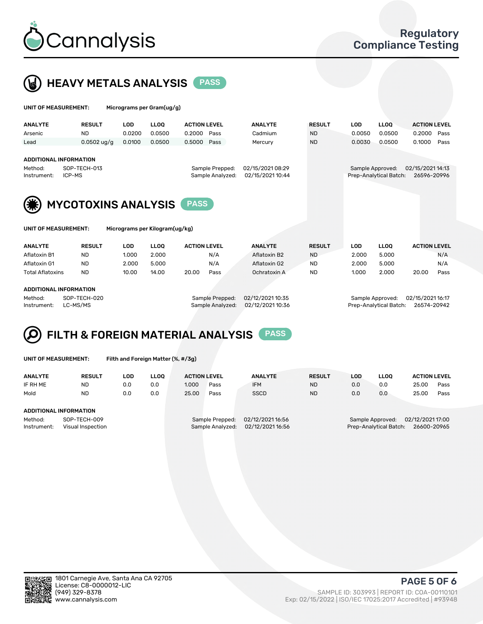



| UNIT OF MEASUREMENT:                                              |                                            |                      | Micrograms per Gram(ug/g)      |                               |                                     |                                      |                            |                      |                                            |                                       |
|-------------------------------------------------------------------|--------------------------------------------|----------------------|--------------------------------|-------------------------------|-------------------------------------|--------------------------------------|----------------------------|----------------------|--------------------------------------------|---------------------------------------|
| <b>ANALYTE</b><br>Arsenic                                         | <b>RESULT</b><br>ND.                       | <b>LOD</b><br>0.0200 | <b>LLOO</b><br>0.0500          | <b>ACTION LEVEL</b><br>0.2000 | Pass                                | <b>ANALYTE</b><br>Cadmium            | <b>RESULT</b><br><b>ND</b> | <b>LOD</b><br>0.0050 | <b>LLOO</b><br>0.0500                      | <b>ACTION LEVEL</b><br>0.2000<br>Pass |
| Lead                                                              | $0.0502$ ug/g                              | 0.0100               | 0.0500                         | 0.5000                        | Pass                                | Mercury                              | <b>ND</b>                  | 0.0030               | 0.0500                                     | 0.1000<br>Pass                        |
| <b>ADDITIONAL INFORMATION</b><br>Method:<br>ICP-MS<br>Instrument: | SOP-TECH-013<br><b>MYCOTOXINS ANALYSIS</b> |                      |                                | <b>PASS</b>                   | Sample Prepped:<br>Sample Analyzed: | 02/15/2021 08:29<br>02/15/2021 10:44 |                            |                      | Sample Approved:<br>Prep-Analytical Batch: | 02/15/2021 14:13<br>26596-20996       |
| UNIT OF MEASUREMENT:                                              |                                            |                      | Micrograms per Kilogram(ug/kg) |                               |                                     |                                      |                            |                      |                                            |                                       |
| <b>ANALYTE</b>                                                    | <b>RESULT</b>                              | <b>LOD</b>           | <b>LLOO</b>                    | <b>ACTION LEVEL</b>           |                                     | <b>ANALYTE</b>                       | <b>RESULT</b>              | <b>LOD</b>           | <b>LLOQ</b>                                | <b>ACTION LEVEL</b>                   |

| .                      | .         | ---   | ----  |       |      |  | .            | .         | ---   | ----  |       |      |
|------------------------|-----------|-------|-------|-------|------|--|--------------|-----------|-------|-------|-------|------|
| Aflatoxin B1           | <b>ND</b> | 1.000 | 2.000 |       | N/A  |  | Aflatoxin B2 | <b>ND</b> | 2.000 | 5.000 |       | N/A  |
| Aflatoxin G1           | <b>ND</b> | 2.000 | 5.000 |       | N/A  |  | Aflatoxin G2 | <b>ND</b> | 2.000 | 5.000 |       | N/A  |
| Total Aflatoxins       | <b>ND</b> | 10.00 | 14.00 | 20.00 | Pass |  | Ochratoxin A | <b>ND</b> | 1.000 | 2.000 | 20.00 | Pass |
|                        |           |       |       |       |      |  |              |           |       |       |       |      |
| ADDITIONAL INFORMATION |           |       |       |       |      |  |              |           |       |       |       |      |

Method: SOP-TECH-020 Sample Prepped: 02/12/2021 10:35 Sample Approved: 02/15/2021 16:17 Instrument: LC-MS/MS Sample Analyzed: 02/12/2021 10:36 Prep-Analytical Batch: 26574-20942

# FILTH & FOREIGN MATERIAL ANALYSIS PASS

UNIT OF MEASUREMENT: Filth and Foreign Matter (%, #/3g)

| <b>ANALYTE</b>                                              | <b>RESULT</b> | LOD | <b>LLOO</b> | <b>ACTION LEVEL</b>                 |      | <b>ANALYTE</b>                       | <b>RESULT</b> | LOD                                                                           | LLOO | <b>ACTION LEVEL</b> |      |  |
|-------------------------------------------------------------|---------------|-----|-------------|-------------------------------------|------|--------------------------------------|---------------|-------------------------------------------------------------------------------|------|---------------------|------|--|
| IF RH ME                                                    | <b>ND</b>     | 0.0 | 0.0         | 1.000                               | Pass | <b>IFM</b>                           | <b>ND</b>     | 0.0                                                                           | 0.0  | 25.00               | Pass |  |
| Mold                                                        | <b>ND</b>     | 0.0 | 0.0         | 25.00                               | Pass | <b>SSCD</b>                          | <b>ND</b>     | 0.0                                                                           | 0.0  | 25.00               | Pass |  |
| <b>ADDITIONAL INFORMATION</b>                               |               |     |             |                                     |      |                                      |               |                                                                               |      |                     |      |  |
| Method:<br>SOP-TECH-009<br>Instrument:<br>Visual Inspection |               |     |             | Sample Prepped:<br>Sample Analyzed: |      | 02/12/2021 16:56<br>02/12/2021 16:56 |               | 02/12/2021 17:00<br>Sample Approved:<br>Prep-Analytical Batch:<br>26600-20965 |      |                     |      |  |



PAGE 5 OF 6